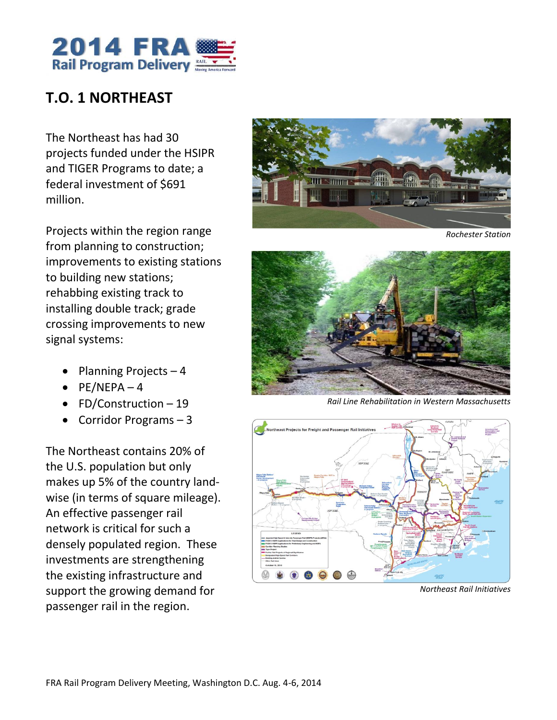

# **T.O. 1 NORTHEAST**

The Northeast has had 30 projects funded under the HSIPR and TIGER Programs to date; a federal investment of \$691 million.

Projects within the region range from planning to construction; improvements to existing stations to building new stations; rehabbing existing track to installing double track; grade crossing improvements to new signal systems:

- Planning Projects  $-4$
- $\bullet$  PE/NEPA 4
- FD/Construction  $-19$
- Corridor Programs 3

The Northeast contains 20% of the U.S. population but only makes up 5% of the country landwise (in terms of square mileage). An effective passenger rail network is critical for such a densely populated region. These investments are strengthening the existing infrastructure and support the growing demand for passenger rail in the region.



*Rochester Station*



*Rail Line Rehabilitation in Western Massachusetts*



*Northeast Rail Initiatives*